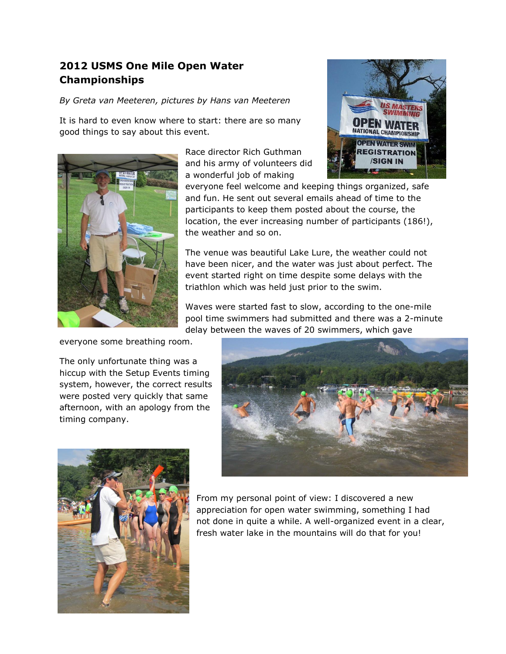## **2012 USMS One Mile Open Water Championships**

*By Greta van Meeteren, pictures by Hans van Meeteren*

It is hard to even know where to start: there are so many good things to say about this event.



Race director Rich Guthman and his army of volunteers did a wonderful job of making



everyone feel welcome and keeping things organized, safe and fun. He sent out several emails ahead of time to the participants to keep them posted about the course, the location, the ever increasing number of participants (186!), the weather and so on.

The venue was beautiful Lake Lure, the weather could not have been nicer, and the water was just about perfect. The event started right on time despite some delays with the triathlon which was held just prior to the swim.

Waves were started fast to slow, according to the one-mile pool time swimmers had submitted and there was a 2-minute delay between the waves of 20 swimmers, which gave

everyone some breathing room.

The only unfortunate thing was a hiccup with the Setup Events timing system, however, the correct results were posted very quickly that same afternoon, with an apology from the timing company.





From my personal point of view: I discovered a new appreciation for open water swimming, something I had not done in quite a while. A well-organized event in a clear, fresh water lake in the mountains will do that for you!